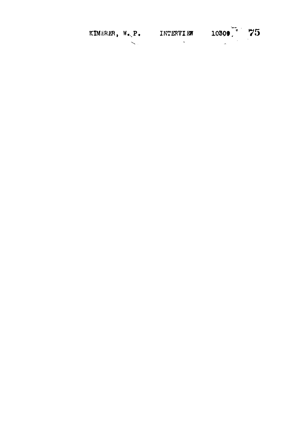| KIMERER, W.P. | INTERVIEW | $10309$ $75$ |  |
|---------------|-----------|--------------|--|
|               |           |              |  |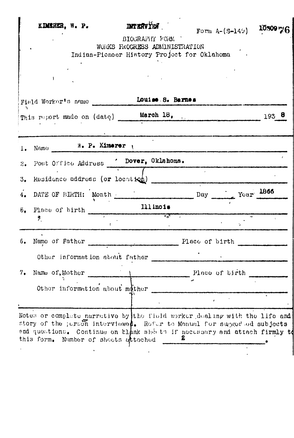|               | Field Worker's name                                           | Louise S. Barnes |                                      |         |
|---------------|---------------------------------------------------------------|------------------|--------------------------------------|---------|
|               |                                                               |                  | This report made on (date) March 18. | $193$ 8 |
| $l_{\bullet}$ | Name W. P. Kimerer                                            |                  |                                      |         |
| 2.            | Post Office Address . Dover, Oklahoma.                        |                  |                                      |         |
| 3.            |                                                               |                  |                                      |         |
| 4.            | DATE OF BIRTH: Month                                          |                  | Day Your 1866                        |         |
|               | $\frac{5}{6}$ . Place of birth $\frac{111 \text{ mod } 3}{6}$ |                  |                                      |         |
|               | Ŗ.                                                            | $\sim$ 100 $\pm$ |                                      |         |
| 6.            |                                                               |                  | Name of Father Place of birth        |         |
|               | Other information about father                                |                  |                                      |         |
| 7.            | Name of, Mother                                               |                  | Place of birth                       |         |
|               | Other information about mother                                |                  |                                      |         |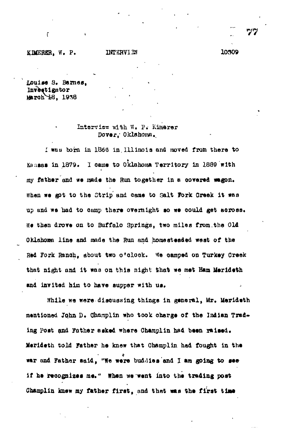## **KDCEHER, W. P. INTERVI3N 10309**

ŕ

**Louise 3. Barnes, Investigator March 18. 1938** 

## **Interview \*ith W. ?. Kimerer Dover,' Oklahoma.,**

**I wau born in 11360 in. Illinois and moved from there to Kansas in 1879. I oaiae to Oklahoma Territory Is 1889 with my father and we made the Run together in e oovered wagon.** When we got to the Strip and came to Salt Fork Creek it was up and we had to camp there overnight so we could get across. **We then drore on to Buffalo Springs, two miles from.the Old OKlahoara line and made the Run and home steaded weat of the Red Fork Ranoh, about tiro o'clock. We oamped on Turkey Creek** that night and it was on this night that we met Ham Merideth and invited him to have supper with us.

**While we were diaouoaing things in general, Mr. Merideth mentioned John D. Qhomplin who took charge of the Indian Tred\*** ing Post and Father asked where Champlin had been raised. **Merideth told Father he knew that Champlin had fought in the war and Father said, "We were buddies and I am going to see if he recognizes me." When we went into the trading post** Champlin knew my father first, and that was the first time